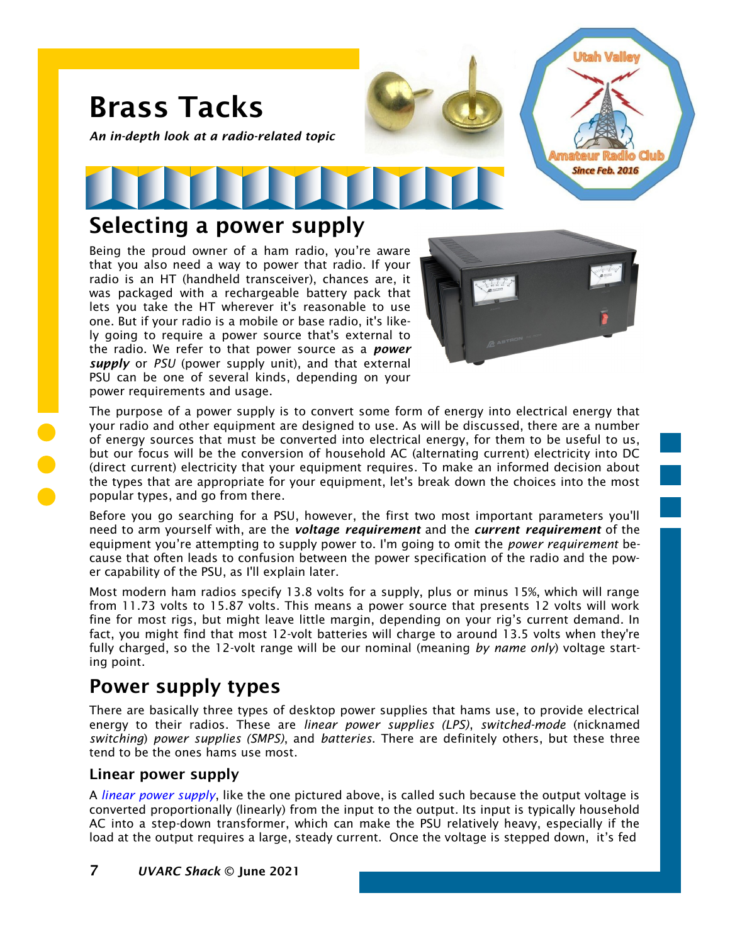

## Selecting a power supply

Being the proud owner of a ham radio, you're aware that you also need a way to power that radio. If your radio is an HT (handheld transceiver), chances are, it was packaged with a rechargeable battery pack that lets you take the HT wherever it's reasonable to use one. But if your radio is a mobile or base radio, it's likely going to require a power source that's external to the radio. We refer to that power source as a *power supply* or *PSU* (power supply unit), and that external PSU can be one of several kinds, depending on your power requirements and usage.



The purpose of a power supply is to convert some form of energy into electrical energy that your radio and other equipment are designed to use. As will be discussed, there are a number of energy sources that must be converted into electrical energy, for them to be useful to us, but our focus will be the conversion of household AC (alternating current) electricity into DC (direct current) electricity that your equipment requires. To make an informed decision about the types that are appropriate for your equipment, let's break down the choices into the most popular types, and go from there.

Before you go searching for a PSU, however, the first two most important parameters you'll need to arm yourself with, are the *voltage requirement* and the *current requirement* of the equipment you're attempting to supply power to. I'm going to omit the *power requirement* because that often leads to confusion between the power specification of the radio and the power capability of the PSU, as I'll explain later.

Most modern ham radios specify 13.8 volts for a supply, plus or minus 15%, which will range from 11.73 volts to 15.87 volts. This means a power source that presents 12 volts will work fine for most rigs, but might leave little margin, depending on your rig's current demand. In fact, you might find that most 12-volt batteries will charge to around 13.5 volts when they're fully charged, so the 12-volt range will be our nominal (meaning *by name only*) voltage starting point.

# Power supply types

There are basically three types of desktop power supplies that hams use, to provide electrical energy to their radios. These are *linear power supplies (LPS)*, *switched-mode* (nicknamed *switching*) *power supplies (SMPS)*, and *batteries*. There are definitely others, but these three tend to be the ones hams use most.

### Linear power supply

A *[linear power supply](https://en.wikipedia.org/wiki/Power_supply#Linear_power_supply)*, like the one pictured above, is called such because the output voltage is converted proportionally (linearly) from the input to the output. Its input is typically household AC into a step-down transformer, which can make the PSU relatively heavy, especially if the load at the output requires a large, steady current. Once the voltage is stepped down, it's fed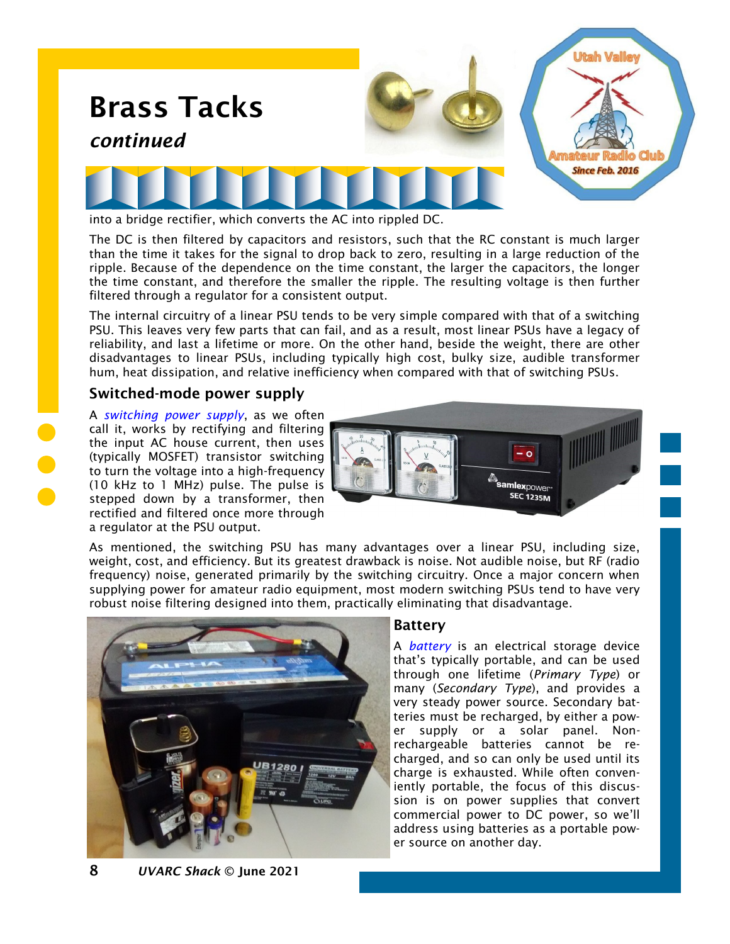

The DC is then filtered by capacitors and resistors, such that the RC constant is much larger than the time it takes for the signal to drop back to zero, resulting in a large reduction of the ripple. Because of the dependence on the time constant, the larger the capacitors, the longer the time constant, and therefore the smaller the ripple. The resulting voltage is then further filtered through a regulator for a consistent output.

The internal circuitry of a linear PSU tends to be very simple compared with that of a switching PSU. This leaves very few parts that can fail, and as a result, most linear PSUs have a legacy of reliability, and last a lifetime or more. On the other hand, beside the weight, there are other disadvantages to linear PSUs, including typically high cost, bulky size, audible transformer hum, heat dissipation, and relative inefficiency when compared with that of switching PSUs.

### Switched-mode power supply

A *[switching power supply](https://en.wikipedia.org/wiki/Switched-mode_power_supply)*, as we often call it, works by rectifying and filtering the input AC house current, then uses (typically MOSFET) transistor switching to turn the voltage into a high-frequency (10 kHz to 1 MHz) pulse. The pulse is stepped down by a transformer, then rectified and filtered once more through a regulator at the PSU output.



As mentioned, the switching PSU has many advantages over a linear PSU, including size, weight, cost, and efficiency. But its greatest drawback is noise. Not audible noise, but RF (radio frequency) noise, generated primarily by the switching circuitry. Once a major concern when supplying power for amateur radio equipment, most modern switching PSUs tend to have very robust noise filtering designed into them, practically eliminating that disadvantage.



### Battery

A *[battery](https://noji.com/hamradio/pdf-ppt/noji/Noji-Article-Batteries.pdf)* is an electrical storage device that's typically portable, and can be used through one lifetime (*Primary Type*) or many (*Secondary Type*), and provides a very steady power source. Secondary batteries must be recharged, by either a power supply or a solar panel. Nonrechargeable batteries cannot be recharged, and so can only be used until its charge is exhausted. While often conveniently portable, the focus of this discussion is on power supplies that convert commercial power to DC power, so we'll address using batteries as a portable power source on another day.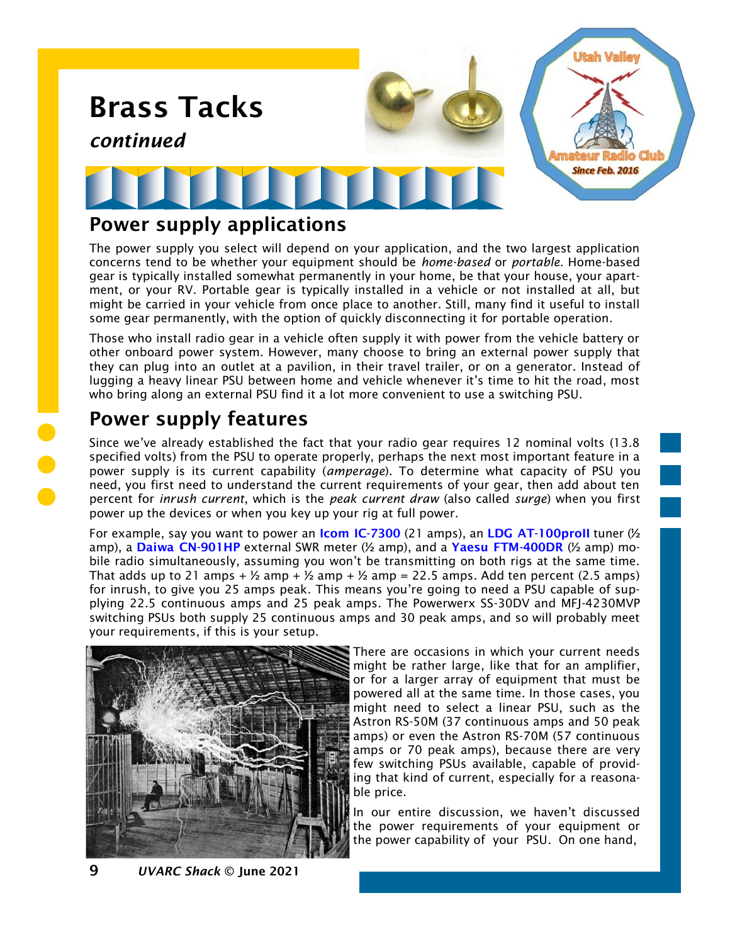

## Power supply applications

The power supply you select will depend on your application, and the two largest application concerns tend to be whether your equipment should be *home-based* or *portable*. Home-based gear is typically installed somewhat permanently in your home, be that your house, your apartment, or your RV. Portable gear is typically installed in a vehicle or not installed at all, but might be carried in your vehicle from once place to another. Still, many find it useful to install some gear permanently, with the option of quickly disconnecting it for portable operation.

Those who install radio gear in a vehicle often supply it with power from the vehicle battery or other onboard power system. However, many choose to bring an external power supply that they can plug into an outlet at a pavilion, in their travel trailer, or on a generator. Instead of lugging a heavy linear PSU between home and vehicle whenever it's time to hit the road, most who bring along an external PSU find it a lot more convenient to use a switching PSU.

# Power supply features

Since we've already established the fact that your radio gear requires 12 nominal volts (13.8 specified volts) from the PSU to operate properly, perhaps the next most important feature in a power supply is its current capability (*amperage*). To determine what capacity of PSU you need, you first need to understand the current requirements of your gear, then add about ten percent for *inrush current*, which is the *peak current draw* (also called *surge*) when you first power up the devices or when you key up your rig at full power.

For example, say you want to power an **[Icom IC-7300](https://www.universal-radio.com/catalog/hamhf/0173spec.html)** (21 amps), an LDG AT-100proll tuner  $\frac{1}{2}$ amp), a [Daiwa CN-901HP](https://www.dxengineering.com/parts/dwa-cn-901hp) external SWR meter ( $\frac{1}{2}$  amp), and a [Yaesu FTM-400DR](https://www.universal-radio.com/catalog/fm_txvrs/5400spec.html) ( $\frac{1}{2}$  amp) mobile radio simultaneously, assuming you won't be transmitting on both rigs at the same time. That adds up to 21 amps  $+ \frac{1}{2}$  amp  $+ \frac{1}{2}$  amp  $+ \frac{1}{2}$  amp = 22.5 amps. Add ten percent (2.5 amps) for inrush, to give you 25 amps peak. This means you're going to need a PSU capable of supplying 22.5 continuous amps and 25 peak amps. The Powerwerx SS-30DV and MFJ-4230MVP switching PSUs both supply 25 continuous amps and 30 peak amps, and so will probably meet your requirements, if this is your setup.



There are occasions in which your current needs might be rather large, like that for an amplifier, or for a larger array of equipment that must be powered all at the same time. In those cases, you might need to select a linear PSU, such as the Astron RS-50M (37 continuous amps and 50 peak amps) or even the Astron RS-70M (57 continuous amps or 70 peak amps), because there are very few switching PSUs available, capable of providing that kind of current, especially for a reasonable price.

In our entire discussion, we haven't discussed the power requirements of your equipment or the power capability of your PSU. On one hand,

9 *UVARC Shack* © June 2021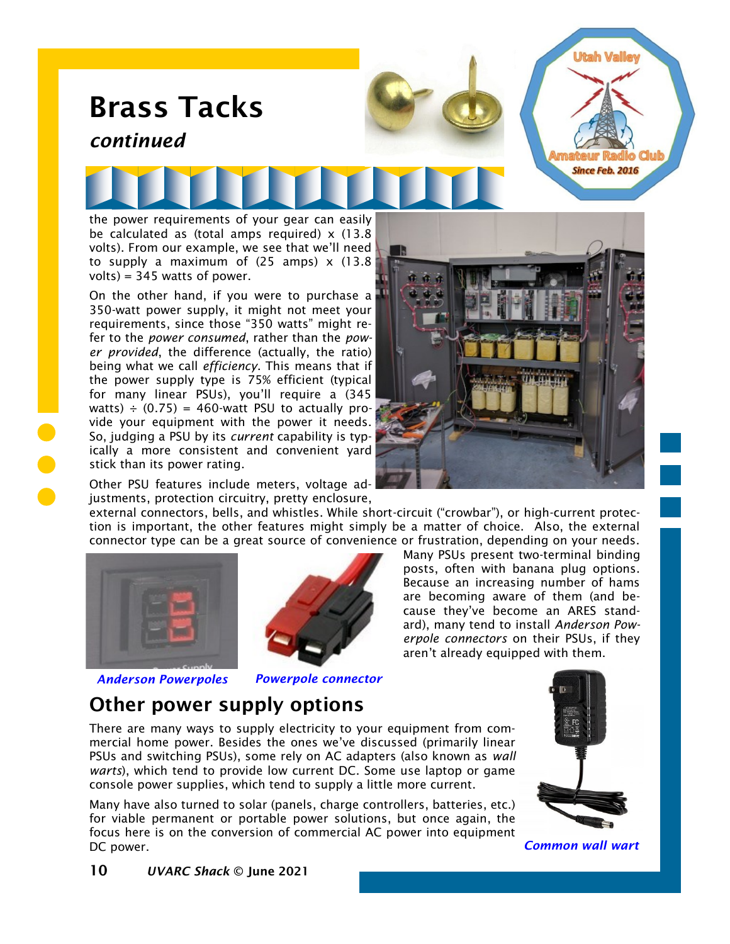

fer to the *power consumed*, rather than the *power provided*, the difference (actually, the ratio) being what we call *efficiency*. This means that if the power supply type is 75% efficient (typical for many linear PSUs), you'll require a (345 watts)  $\div$  (0.75) = 460-watt PSU to actually provide your equipment with the power it needs. So, judging a PSU by its *current* capability is typically a more consistent and convenient yard stick than its power rating.



Other PSU features include meters, voltage adjustments, protection circuitry, pretty enclosure,

external connectors, bells, and whistles. While short-circuit ("crowbar"), or high-current protection is important, the other features might simply be a matter of choice. Also, the external connector type can be a great source of convenience or frustration, depending on your needs.





*Anderson Powerpoles Powerpole connector*

Many PSUs present two-terminal binding posts, often with banana plug options. Because an increasing number of hams are becoming aware of them (and because they've become an ARES standard), many tend to install *Anderson Powerpole connectors* on their PSUs, if they aren't already equipped with them.

## Other power supply options

There are many ways to supply electricity to your equipment from commercial home power. Besides the ones we've discussed (primarily linear PSUs and switching PSUs), some rely on AC adapters (also known as *wall warts*), which tend to provide low current DC. Some use laptop or game console power supplies, which tend to supply a little more current.

Many have also turned to solar (panels, charge controllers, batteries, etc.) for viable permanent or portable power solutions, but once again, the focus here is on the conversion of commercial AC power into equipment DC power. *Common wall wart*